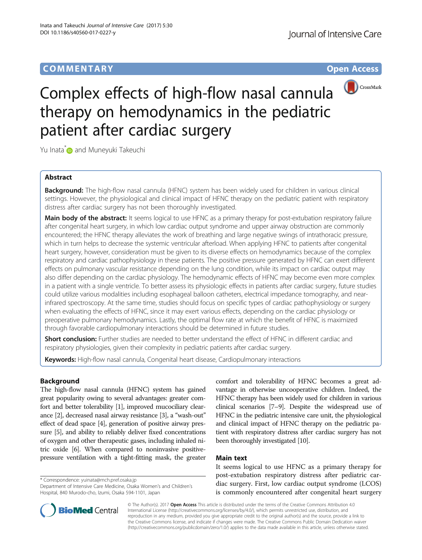## **COMMENTARY** COMMENTARY **Open Access**



# Complex effects of high-flow nasal cannula therapy on hemodynamics in the pediatric patient after cardiac surgery

Yu Inata<sup>\*</sup> and Muneyuki Takeuchi

## Abstract

**Background:** The high-flow nasal cannula (HFNC) system has been widely used for children in various clinical settings. However, the physiological and clinical impact of HFNC therapy on the pediatric patient with respiratory distress after cardiac surgery has not been thoroughly investigated.

Main body of the abstract: It seems logical to use HFNC as a primary therapy for post-extubation respiratory failure after congenital heart surgery, in which low cardiac output syndrome and upper airway obstruction are commonly encountered; the HFNC therapy alleviates the work of breathing and large negative swings of intrathoracic pressure, which in turn helps to decrease the systemic ventricular afterload. When applying HFNC to patients after congenital heart surgery, however, consideration must be given to its diverse effects on hemodynamics because of the complex respiratory and cardiac pathophysiology in these patients. The positive pressure generated by HFNC can exert different effects on pulmonary vascular resistance depending on the lung condition, while its impact on cardiac output may also differ depending on the cardiac physiology. The hemodynamic effects of HFNC may become even more complex in a patient with a single ventricle. To better assess its physiologic effects in patients after cardiac surgery, future studies could utilize various modalities including esophageal balloon catheters, electrical impedance tomography, and nearinfrared spectroscopy. At the same time, studies should focus on specific types of cardiac pathophysiology or surgery when evaluating the effects of HFNC, since it may exert various effects, depending on the cardiac physiology or preoperative pulmonary hemodynamics. Lastly, the optimal flow rate at which the benefit of HFNC is maximized through favorable cardiopulmonary interactions should be determined in future studies.

Short conclusion: Further studies are needed to better understand the effect of HFNC in different cardiac and respiratory physiologies, given their complexity in pediatric patients after cardiac surgery.

Keywords: High-flow nasal cannula, Congenital heart disease, Cardiopulmonary interactions

## Background

The high-flow nasal cannula (HFNC) system has gained great popularity owing to several advantages: greater comfort and better tolerability [\[1\]](#page-2-0), improved mucociliary clearance [\[2](#page-2-0)], decreased nasal airway resistance [\[3\]](#page-2-0), a "wash-out" effect of dead space [\[4\]](#page-2-0), generation of positive airway pressure [[5](#page-2-0)], and ability to reliably deliver fixed concentrations of oxygen and other therapeutic gases, including inhaled nitric oxide [\[6\]](#page-2-0). When compared to noninvasive positivepressure ventilation with a tight-fitting mask, the greater

\* Correspondence: [yuinata@mch.pref.osaka.jp](mailto:yuinata@mch.pref.osaka.jp)

comfort and tolerability of HFNC becomes a great advantage in otherwise uncooperative children. Indeed, the HFNC therapy has been widely used for children in various clinical scenarios [[7](#page-2-0)–[9\]](#page-2-0). Despite the widespread use of HFNC in the pediatric intensive care unit, the physiological and clinical impact of HFNC therapy on the pediatric patient with respiratory distress after cardiac surgery has not been thoroughly investigated [\[10](#page-2-0)].

## Main text

It seems logical to use HFNC as a primary therapy for post-extubation respiratory distress after pediatric cardiac surgery. First, low cardiac output syndrome (LCOS) is commonly encountered after congenital heart surgery



© The Author(s). 2017 **Open Access** This article is distributed under the terms of the Creative Commons Attribution 4.0 International License [\(http://creativecommons.org/licenses/by/4.0/](http://creativecommons.org/licenses/by/4.0/)), which permits unrestricted use, distribution, and reproduction in any medium, provided you give appropriate credit to the original author(s) and the source, provide a link to the Creative Commons license, and indicate if changes were made. The Creative Commons Public Domain Dedication waiver [\(http://creativecommons.org/publicdomain/zero/1.0/](http://creativecommons.org/publicdomain/zero/1.0/)) applies to the data made available in this article, unless otherwise stated.

Department of Intensive Care Medicine, Osaka Women's and Children's Hospital, 840 Murodo-cho, Izumi, Osaka 594-1101, Japan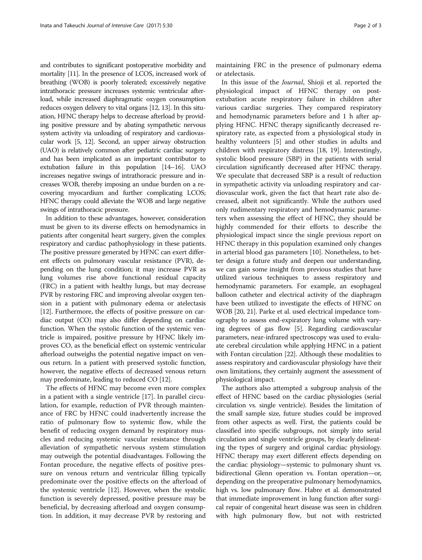and contributes to significant postoperative morbidity and mortality [\[11\]](#page-2-0). In the presence of LCOS, increased work of breathing (WOB) is poorly tolerated; excessively negative intrathoracic pressure increases systemic ventricular afterload, while increased diaphragmatic oxygen consumption reduces oxygen delivery to vital organs [[12](#page-2-0), [13](#page-2-0)]. In this situation, HFNC therapy helps to decrease afterload by providing positive pressure and by abating sympathetic nervous system activity via unloading of respiratory and cardiovascular work [\[5](#page-2-0), [12](#page-2-0)]. Second, an upper airway obstruction (UAO) is relatively common after pediatric cardiac surgery and has been implicated as an important contributor to extubation failure in this population [\[14](#page-2-0)–[16](#page-2-0)]. UAO increases negative swings of intrathoracic pressure and increases WOB, thereby imposing an undue burden on a recovering myocardium and further complicating LCOS; HFNC therapy could alleviate the WOB and large negative swings of intrathoracic pressure.

In addition to these advantages, however, consideration must be given to its diverse effects on hemodynamics in patients after congenital heart surgery, given the complex respiratory and cardiac pathophysiology in these patients. The positive pressure generated by HFNC can exert different effects on pulmonary vascular resistance (PVR), depending on the lung condition; it may increase PVR as lung volumes rise above functional residual capacity (FRC) in a patient with healthy lungs, but may decrease PVR by restoring FRC and improving alveolar oxygen tension in a patient with pulmonary edema or atelectasis [[12](#page-2-0)]. Furthermore, the effects of positive pressure on cardiac output (CO) may also differ depending on cardiac function. When the systolic function of the systemic ventricle is impaired, positive pressure by HFNC likely improves CO, as the beneficial effect on systemic ventricular afterload outweighs the potential negative impact on venous return. In a patient with preserved systolic function, however, the negative effects of decreased venous return may predominate, leading to reduced CO [\[12\]](#page-2-0).

The effects of HFNC may become even more complex in a patient with a single ventricle [[17](#page-2-0)]. In parallel circulation, for example, reduction of PVR through maintenance of FRC by HFNC could inadvertently increase the ratio of pulmonary flow to systemic flow, while the benefit of reducing oxygen demand by respiratory muscles and reducing systemic vascular resistance through alleviation of sympathetic nervous system stimulation may outweigh the potential disadvantages. Following the Fontan procedure, the negative effects of positive pressure on venous return and ventricular filling typically predominate over the positive effects on the afterload of the systemic ventricle [[12](#page-2-0)]. However, when the systolic function is severely depressed, positive pressure may be beneficial, by decreasing afterload and oxygen consumption. In addition, it may decrease PVR by restoring and

maintaining FRC in the presence of pulmonary edema or atelectasis.

In this issue of the Journal, Shioji et al. reported the physiological impact of HFNC therapy on postextubation acute respiratory failure in children after various cardiac surgeries. They compared respiratory and hemodynamic parameters before and 1 h after applying HFNC. HFNC therapy significantly decreased respiratory rate, as expected from a physiological study in healthy volunteers [\[5](#page-2-0)] and other studies in adults and children with respiratory distress [\[18, 19](#page-2-0)]. Interestingly, systolic blood pressure (SBP) in the patients with serial circulation significantly decreased after HFNC therapy. We speculate that decreased SBP is a result of reduction in sympathetic activity via unloading respiratory and cardiovascular work, given the fact that heart rate also decreased, albeit not significantly. While the authors used only rudimentary respiratory and hemodynamic parameters when assessing the effect of HFNC, they should be highly commended for their efforts to describe the physiological impact since the single previous report on HFNC therapy in this population examined only changes in arterial blood gas parameters [\[10](#page-2-0)]. Nonetheless, to better design a future study and deepen our understanding, we can gain some insight from previous studies that have utilized various techniques to assess respiratory and hemodynamic parameters. For example, an esophageal balloon catheter and electrical activity of the diaphragm have been utilized to investigate the effects of HFNC on WOB [[20](#page-2-0), [21\]](#page-2-0). Parke et al. used electrical impedance tomography to assess end-expiratory lung volume with varying degrees of gas flow [[5](#page-2-0)]. Regarding cardiovascular parameters, near-infrared spectroscopy was used to evaluate cerebral circulation while applying HFNC in a patient with Fontan circulation [[22](#page-2-0)]. Although these modalities to assess respiratory and cardiovascular physiology have their own limitations, they certainly augment the assessment of physiological impact.

The authors also attempted a subgroup analysis of the effect of HFNC based on the cardiac physiologies (serial circulation vs. single ventricle). Besides the limitation of the small sample size, future studies could be improved from other aspects as well. First, the patients could be classified into specific subgroups, not simply into serial circulation and single ventricle groups, by clearly delineating the types of surgery and original cardiac physiology. HFNC therapy may exert different effects depending on the cardiac physiology—systemic to pulmonary shunt vs. bidirectional Glenn operation vs. Fontan operation—or, depending on the preoperative pulmonary hemodynamics, high vs. low pulmonary flow. Habre et al. demonstrated that immediate improvement in lung function after surgical repair of congenital heart disease was seen in children with high pulmonary flow, but not with restricted